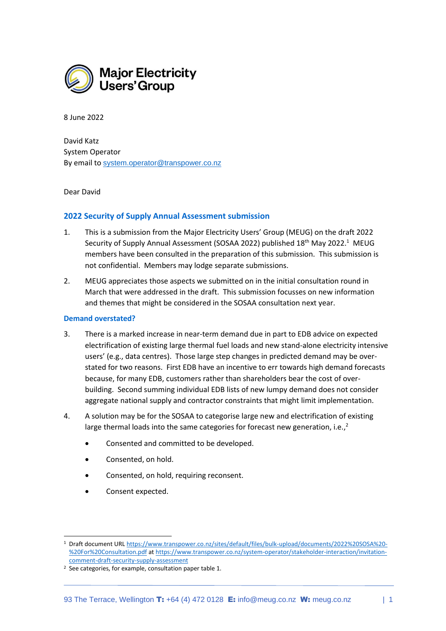

8 June 2022

David Katz System Operator By email to [system.operator@transpower.co.nz](mailto:system.operator@transpower.co.nz)

Dear David

# **2022 Security of Supply Annual Assessment submission**

- 1. This is a submission from the Major Electricity Users' Group (MEUG) on the draft 2022 Security of Supply Annual Assessment (SOSAA 2022) published 18<sup>th</sup> May 2022.<sup>1</sup> MEUG members have been consulted in the preparation of this submission. This submission is not confidential. Members may lodge separate submissions.
- 2. MEUG appreciates those aspects we submitted on in the initial consultation round in March that were addressed in the draft. This submission focusses on new information and themes that might be considered in the SOSAA consultation next year.

#### **Demand overstated?**

- 3. There is a marked increase in near-term demand due in part to EDB advice on expected electrification of existing large thermal fuel loads and new stand-alone electricity intensive users' (e.g., data centres). Those large step changes in predicted demand may be overstated for two reasons. First EDB have an incentive to err towards high demand forecasts because, for many EDB, customers rather than shareholders bear the cost of overbuilding. Second summing individual EDB lists of new lumpy demand does not consider aggregate national supply and contractor constraints that might limit implementation.
- 4. A solution may be for the SOSAA to categorise large new and electrification of existing large thermal loads into the same categories for forecast new generation, i.e.,<sup>2</sup>
	- Consented and committed to be developed.
	- Consented, on hold.
	- Consented, on hold, requiring reconsent.
	- Consent expected.

<sup>1</sup> Draft document URL [https://www.transpower.co.nz/sites/default/files/bulk-upload/documents/2022%20SOSA%20-](https://www.transpower.co.nz/sites/default/files/bulk-upload/documents/2022%20SOSA%20-%20For%20Consultation.pdf) [%20For%20Consultation.pdf](https://www.transpower.co.nz/sites/default/files/bulk-upload/documents/2022%20SOSA%20-%20For%20Consultation.pdf) a[t https://www.transpower.co.nz/system-operator/stakeholder-interaction/invitation](https://www.transpower.co.nz/system-operator/stakeholder-interaction/invitation-comment-draft-security-supply-assessment)[comment-draft-security-supply-assessment](https://www.transpower.co.nz/system-operator/stakeholder-interaction/invitation-comment-draft-security-supply-assessment)

<sup>2</sup> See categories, for example, consultation paper table 1.